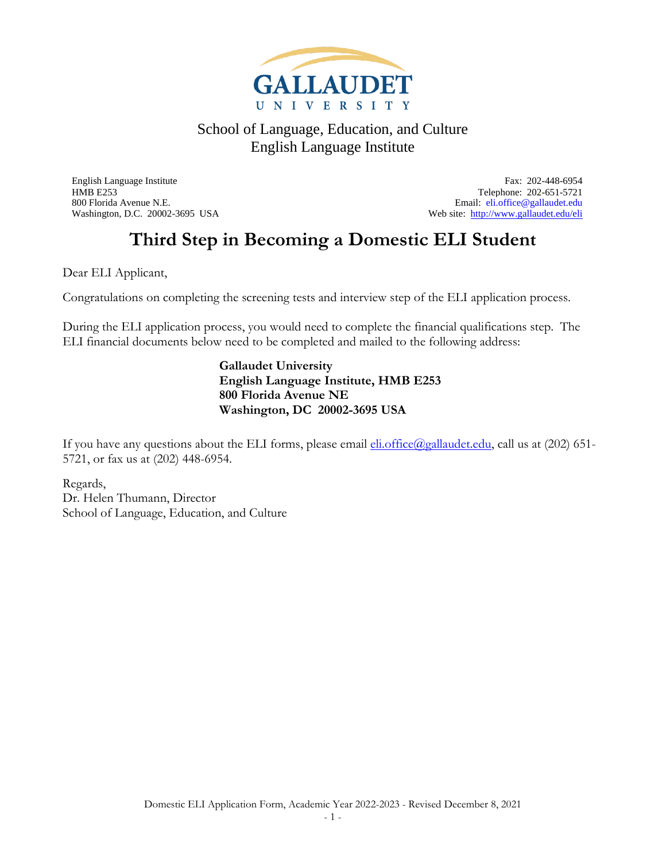

800 Florida Avenue N.E.<br>
Web site: http://www.gallaudet.edu/eli<br>
Web site: http://www.gallaudet.edu/eli

English Language Institute Fax: 202-448-6954 HMB E253 Telephone: 202-651-5721 Web site:<http://www.gallaudet.edu/eli>

### **Third Step in Becoming a Domestic ELI Student**

Dear ELI Applicant,

Congratulations on completing the screening tests and interview step of the ELI application process.

During the ELI application process, you would need to complete the financial qualifications step. The ELI financial documents below need to be completed and mailed to the following address:

### **Gallaudet University English Language Institute, HMB E253 800 Florida Avenue NE Washington, DC 20002-3695 USA**

If you have any questions about the ELI forms, please email  $\underline{\text{eli}}.\text{office}(Qgallaudet.edu, \text{call} \text{us at } (202) \text{ 651-}$ 5721, or fax us at (202) 448-6954.

Regards, Dr. Helen Thumann, Director School of Language, Education, and Culture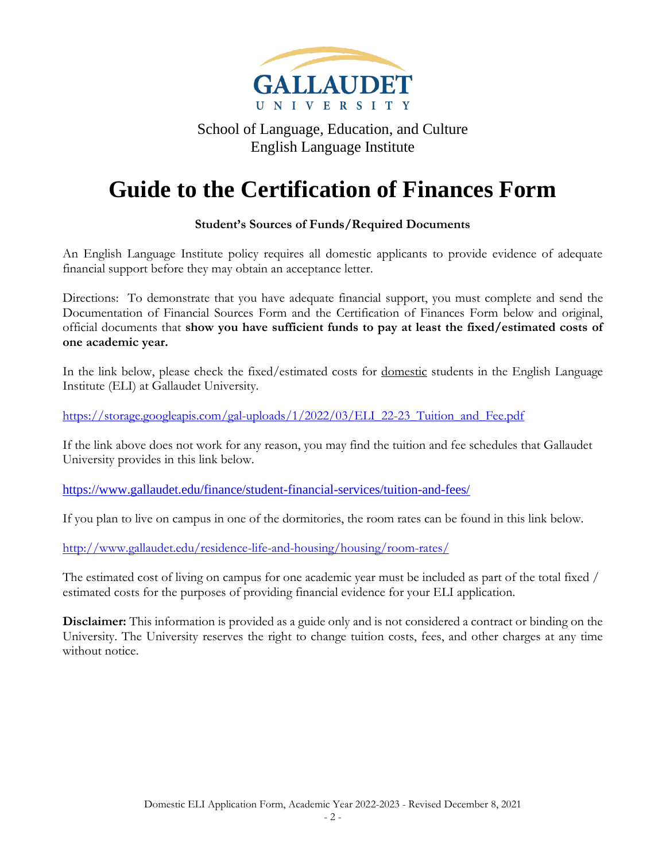

### **Guide to the Certification of Finances Form**

### **Student's Sources of Funds/Required Documents**

An English Language Institute policy requires all domestic applicants to provide evidence of adequate financial support before they may obtain an acceptance letter.

Directions: To demonstrate that you have adequate financial support, you must complete and send the Documentation of Financial Sources Form and the Certification of Finances Form below and original, official documents that **show you have sufficient funds to pay at least the fixed/estimated costs of one academic year.** 

In the link below, please check the fixed/estimated costs for <u>domestic</u> students in the English Language Institute (ELI) at Gallaudet University.

[https://storage.googleapis.com/gal-uploads/1/2022/03/ELI\\_22-23\\_Tuition\\_and\\_Fee.pdf](https://storage.googleapis.com/gal-uploads/1/2022/03/ELI_22-23_Tuition_and_Fee.pdf)

If the link above does not work for any reason, you may find the tuition and fee schedules that Gallaudet University provides in this link below.

<https://www.gallaudet.edu/finance/student-financial-services/tuition-and-fees/>

If you plan to live on campus in one of the dormitories, the room rates can be found in this link below.

<http://www.gallaudet.edu/residence-life-and-housing/housing/room-rates/>

The estimated cost of living on campus for one academic year must be included as part of the total fixed / estimated costs for the purposes of providing financial evidence for your ELI application.

**Disclaimer:** This information is provided as a guide only and is not considered a contract or binding on the University. The University reserves the right to change tuition costs, fees, and other charges at any time without notice.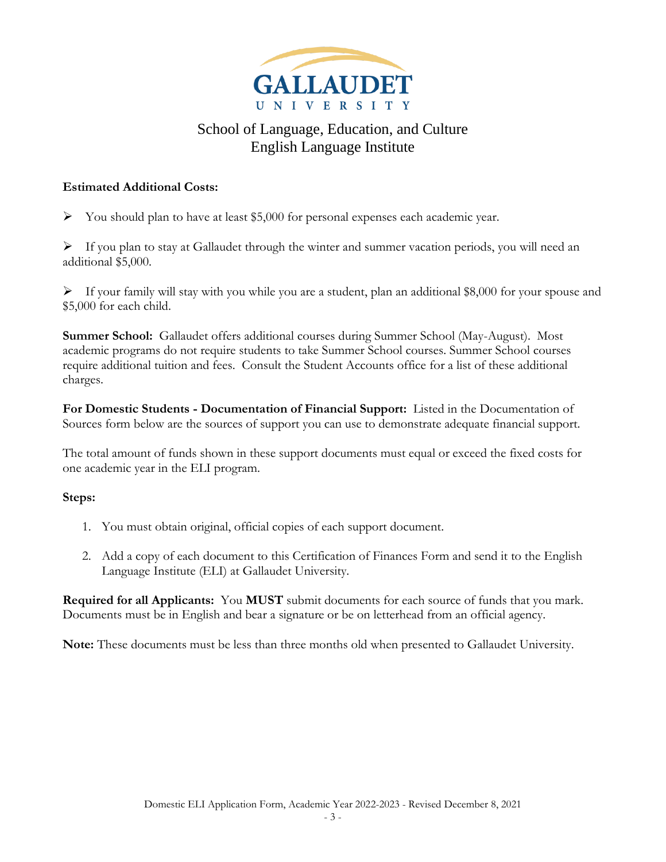

### **Estimated Additional Costs:**

 $\triangleright$  You should plan to have at least \$5,000 for personal expenses each academic year.

 $\triangleright$  If you plan to stay at Gallaudet through the winter and summer vacation periods, you will need an additional \$5,000.

 $\triangleright$  If your family will stay with you while you are a student, plan an additional \$8,000 for your spouse and \$5,000 for each child.

**Summer School:** Gallaudet offers additional courses during Summer School (May-August). Most academic programs do not require students to take Summer School courses. Summer School courses require additional tuition and fees. Consult the Student Accounts office for a list of these additional charges.

**For Domestic Students - Documentation of Financial Support:** Listed in the Documentation of Sources form below are the sources of support you can use to demonstrate adequate financial support.

The total amount of funds shown in these support documents must equal or exceed the fixed costs for one academic year in the ELI program.

### **Steps:**

- 1. You must obtain original, official copies of each support document.
- 2. Add a copy of each document to this Certification of Finances Form and send it to the English Language Institute (ELI) at Gallaudet University.

**Required for all Applicants:** You **MUST** submit documents for each source of funds that you mark. Documents must be in English and bear a signature or be on letterhead from an official agency.

**Note:** These documents must be less than three months old when presented to Gallaudet University.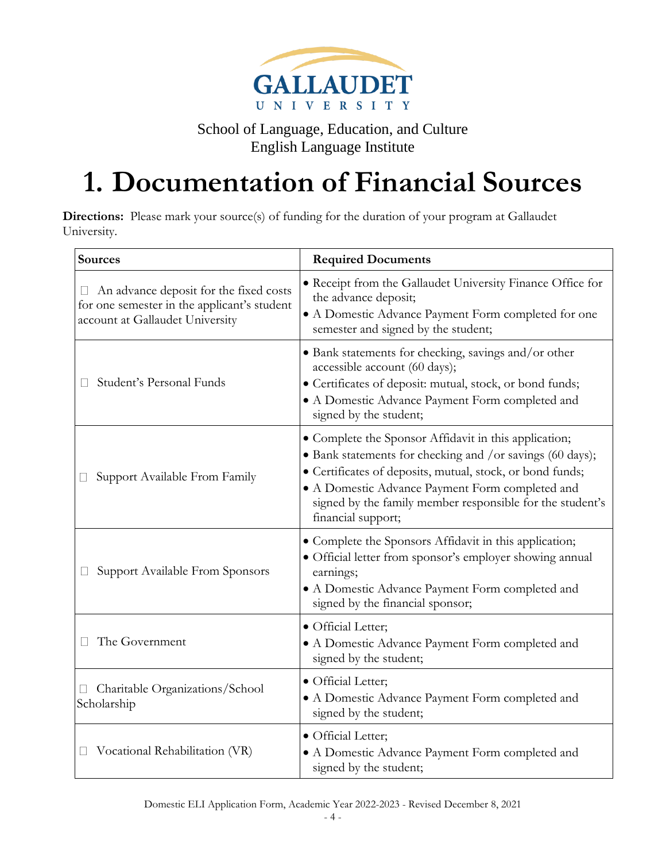

# **1. Documentation of Financial Sources**

**Directions:** Please mark your source(s) of funding for the duration of your program at Gallaudet University.

| Sources                                                                                                                  | <b>Required Documents</b>                                                                                                                                                                                                                                                                                             |
|--------------------------------------------------------------------------------------------------------------------------|-----------------------------------------------------------------------------------------------------------------------------------------------------------------------------------------------------------------------------------------------------------------------------------------------------------------------|
| An advance deposit for the fixed costs<br>for one semester in the applicant's student<br>account at Gallaudet University | · Receipt from the Gallaudet University Finance Office for<br>the advance deposit;<br>• A Domestic Advance Payment Form completed for one<br>semester and signed by the student;                                                                                                                                      |
| Student's Personal Funds                                                                                                 | • Bank statements for checking, savings and/or other<br>accessible account (60 days);<br>• Certificates of deposit: mutual, stock, or bond funds;<br>• A Domestic Advance Payment Form completed and<br>signed by the student;                                                                                        |
| Support Available From Family                                                                                            | • Complete the Sponsor Affidavit in this application;<br>• Bank statements for checking and /or savings (60 days);<br>· Certificates of deposits, mutual, stock, or bond funds;<br>• A Domestic Advance Payment Form completed and<br>signed by the family member responsible for the student's<br>financial support; |
| Support Available From Sponsors                                                                                          | • Complete the Sponsors Affidavit in this application;<br>· Official letter from sponsor's employer showing annual<br>earnings;<br>• A Domestic Advance Payment Form completed and<br>signed by the financial sponsor;                                                                                                |
| The Government                                                                                                           | · Official Letter;<br>• A Domestic Advance Payment Form completed and<br>signed by the student;                                                                                                                                                                                                                       |
| Charitable Organizations/School<br>Scholarship                                                                           | · Official Letter;<br>• A Domestic Advance Payment Form completed and<br>signed by the student;                                                                                                                                                                                                                       |
| Vocational Rehabilitation (VR)<br>⊔                                                                                      | · Official Letter;<br>• A Domestic Advance Payment Form completed and<br>signed by the student;                                                                                                                                                                                                                       |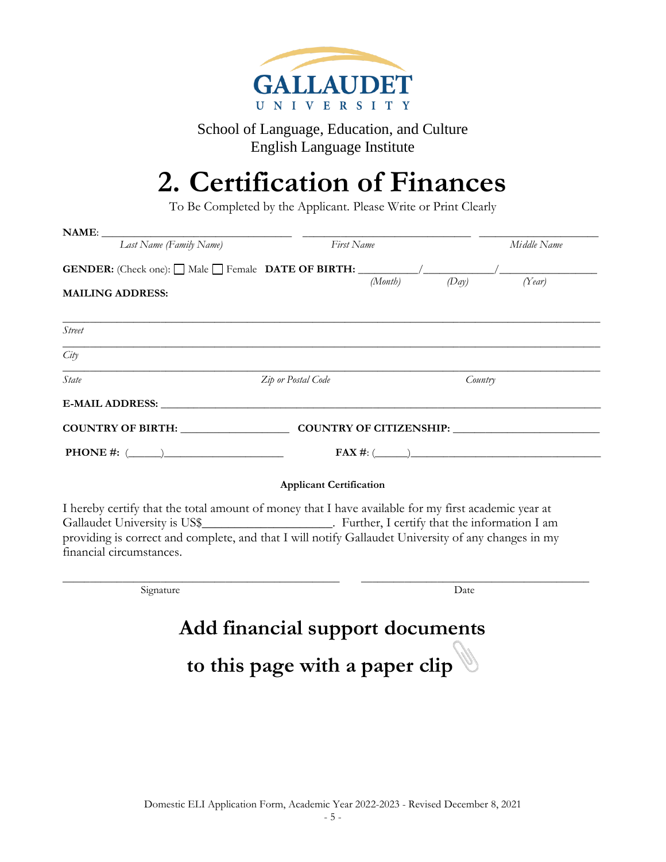

## **2. Certification of Finances**

To Be Completed by the Applicant. Please Write or Print Clearly

| NAME:                                                                        |                                |                                                                                                                                                                                                            |  |  |
|------------------------------------------------------------------------------|--------------------------------|------------------------------------------------------------------------------------------------------------------------------------------------------------------------------------------------------------|--|--|
| Last Name (Family Name)                                                      | First Name                     | Middle Name                                                                                                                                                                                                |  |  |
|                                                                              |                                | (Day)<br>(Month)<br>(Year)                                                                                                                                                                                 |  |  |
| <b>MAILING ADDRESS:</b>                                                      |                                |                                                                                                                                                                                                            |  |  |
| <b>Street</b>                                                                |                                |                                                                                                                                                                                                            |  |  |
| City                                                                         |                                |                                                                                                                                                                                                            |  |  |
| State                                                                        | Zip or Postal Code             | Country                                                                                                                                                                                                    |  |  |
|                                                                              |                                |                                                                                                                                                                                                            |  |  |
| COUNTRY OF BIRTH: COUNTRY OF CITIZENSHIP: COUNTRY OF COUNTRY OF CITIZENSHIP: |                                |                                                                                                                                                                                                            |  |  |
| <b>PHONE</b> #: $(\_)$                                                       |                                | $FAX \#: (\_\_)$                                                                                                                                                                                           |  |  |
|                                                                              | <b>Applicant Certification</b> |                                                                                                                                                                                                            |  |  |
|                                                                              |                                | I hereby certify that the total amount of money that I have available for my first academic year at<br>providing is correct and complete, and that I will notify Gallaudet University of any changes in my |  |  |
| financial circumstances.                                                     |                                |                                                                                                                                                                                                            |  |  |
| Signature                                                                    |                                | Date                                                                                                                                                                                                       |  |  |

# **to this page with a paper clip**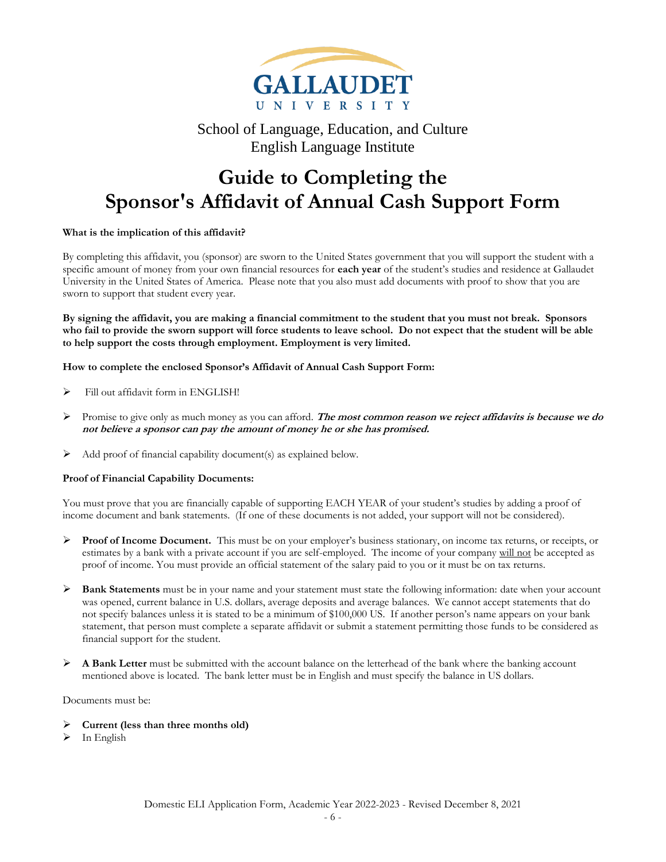

### **Guide to Completing the Sponsor's Affidavit of Annual Cash Support Form**

#### **What is the implication of this affidavit?**

By completing this affidavit, you (sponsor) are sworn to the United States government that you will support the student with a specific amount of money from your own financial resources for **each year** of the student's studies and residence at Gallaudet University in the United States of America. Please note that you also must add documents with proof to show that you are sworn to support that student every year.

**By signing the affidavit, you are making a financial commitment to the student that you must not break. Sponsors who fail to provide the sworn support will force students to leave school. Do not expect that the student will be able to help support the costs through employment. Employment is very limited.**

**How to complete the enclosed Sponsor's Affidavit of Annual Cash Support Form:**

- ➢ Fill out affidavit form in ENGLISH!
- ➢ Promise to give only as much money as you can afford. **The most common reason we reject affidavits is because we do not believe a sponsor can pay the amount of money he or she has promised.**
- $\triangleright$  Add proof of financial capability document(s) as explained below.

#### **Proof of Financial Capability Documents:**

You must prove that you are financially capable of supporting EACH YEAR of your student's studies by adding a proof of income document and bank statements. (If one of these documents is not added, your support will not be considered).

- ➢ **Proof of Income Document.** This must be on your employer's business stationary, on income tax returns, or receipts, or estimates by a bank with a private account if you are self-employed. The income of your company will not be accepted as proof of income. You must provide an official statement of the salary paid to you or it must be on tax returns.
- ➢ **Bank Statements** must be in your name and your statement must state the following information: date when your account was opened, current balance in U.S. dollars, average deposits and average balances. We cannot accept statements that do not specify balances unless it is stated to be a minimum of \$100,000 US. If another person's name appears on your bank statement, that person must complete a separate affidavit or submit a statement permitting those funds to be considered as financial support for the student.
- ➢ **A Bank Letter** must be submitted with the account balance on the letterhead of the bank where the banking account mentioned above is located. The bank letter must be in English and must specify the balance in US dollars.

Documents must be:

- ➢ **Current (less than three months old)**
- $\triangleright$  In English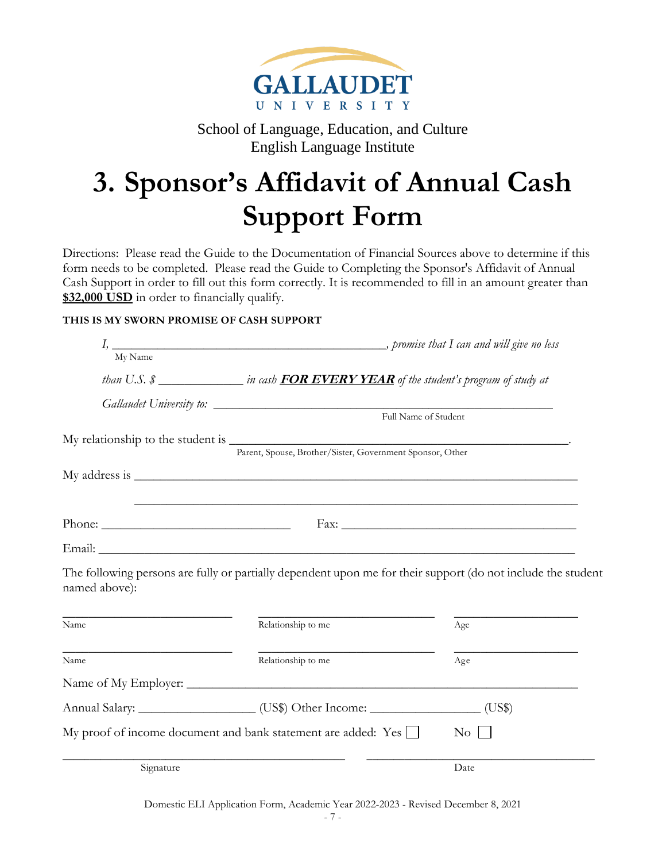

# **3. Sponsor's Affidavit of Annual Cash Support Form**

Directions: Please read the Guide to the Documentation of Financial Sources above to determine if this form needs to be completed. Please read the Guide to Completing the Sponsor's Affidavit of Annual Cash Support in order to fill out this form correctly. It is recommended to fill in an amount greater than **\$32,000 USD** in order to financially qualify.

### **THIS IS MY SWORN PROMISE OF CASH SUPPORT**

| My Name       |                                                                                                                                                                                     |                    |  |
|---------------|-------------------------------------------------------------------------------------------------------------------------------------------------------------------------------------|--------------------|--|
|               | than U.S. \$ _________________in cash FOR EVERY YEAR of the student's program of study at                                                                                           |                    |  |
|               |                                                                                                                                                                                     |                    |  |
|               |                                                                                                                                                                                     |                    |  |
|               | My relationship to the student is $\frac{P_{\text{arent, Spouse, Brother/Sister, Government Sponsor, Other}}}{P_{\text{arent, Spouse, Brother/Sister, Government Sponsor, Other}}}$ |                    |  |
|               |                                                                                                                                                                                     |                    |  |
|               |                                                                                                                                                                                     |                    |  |
|               | ,我们也不能在这里的时候,我们也不能在这里的时候,我们也不能会在这里的时候,我们也不能会在这里的时候,我们也不能会在这里的时候,我们也不能会在这里的时候,我们也                                                                                                    |                    |  |
|               |                                                                                                                                                                                     |                    |  |
|               |                                                                                                                                                                                     |                    |  |
| named above): | The following persons are fully or partially dependent upon me for their support (do not include the student                                                                        |                    |  |
| Name          | Relationship to me                                                                                                                                                                  | Age                |  |
| Name          | Relationship to me                                                                                                                                                                  | Age                |  |
|               |                                                                                                                                                                                     |                    |  |
|               | Annual Salary: ______________________(US\$) Other Income: __________________(US\$)                                                                                                  |                    |  |
|               | My proof of income document and bank statement are added: Yes $\Box$                                                                                                                | $\overline{N_{O}}$ |  |
| Signature     |                                                                                                                                                                                     | Date               |  |

Domestic ELI Application Form, Academic Year 2022-2023 - Revised December 8, 2021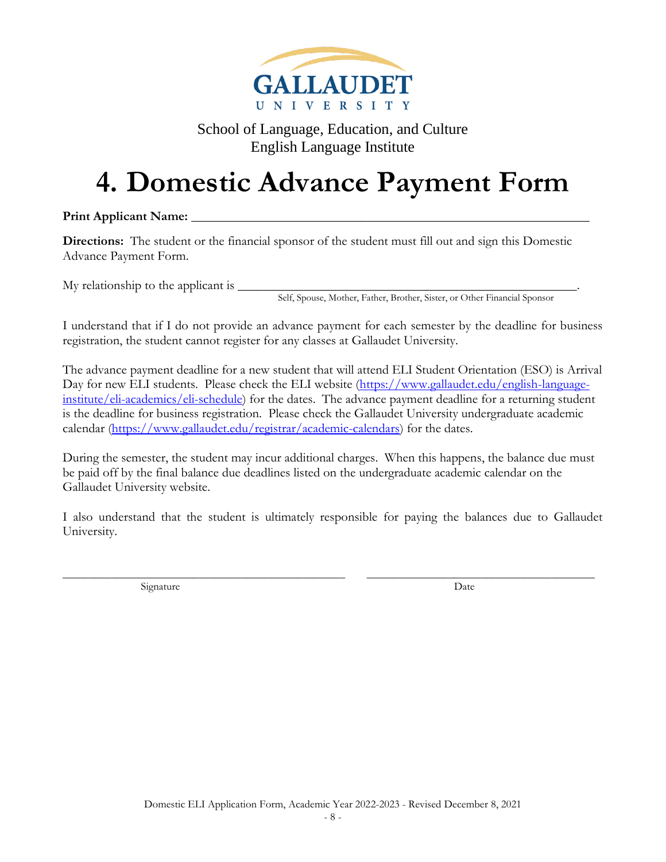

# **4. Domestic Advance Payment Form**

Print Applicant Name:

**Directions:** The student or the financial sponsor of the student must fill out and sign this Domestic Advance Payment Form.

 $Mv$  relationship to the applicant is  $\Box$ 

Self, Spouse, Mother, Father, Brother, Sister, or Other Financial Sponsor

I understand that if I do not provide an advance payment for each semester by the deadline for business registration, the student cannot register for any classes at Gallaudet University.

The advance payment deadline for a new student that will attend ELI Student Orientation (ESO) is Arrival Day for new ELI students. Please check the ELI website [\(https://www.gallaudet.edu/english-language](https://www.gallaudet.edu/english-language-institute/eli-academics/eli-schedule)[institute/eli-academics/eli-schedule\)](https://www.gallaudet.edu/english-language-institute/eli-academics/eli-schedule) for the dates. The advance payment deadline for a returning student is the deadline for business registration. Please check the Gallaudet University undergraduate academic calendar [\(https://www.gallaudet.edu/registrar/academic-calendars\)](https://www.gallaudet.edu/registrar/academic-calendars) for the dates.

During the semester, the student may incur additional charges. When this happens, the balance due must be paid off by the final balance due deadlines listed on the undergraduate academic calendar on the Gallaudet University website.

I also understand that the student is ultimately responsible for paying the balances due to Gallaudet University.

\_\_\_\_\_\_\_\_\_\_\_\_\_\_\_\_\_\_\_\_\_\_\_\_\_\_\_\_\_\_\_\_\_\_\_\_\_\_\_\_\_\_\_\_\_\_\_\_\_\_\_\_ \_\_\_\_\_\_\_\_\_\_\_\_\_\_\_\_\_\_\_\_\_\_\_\_\_\_\_\_\_\_\_\_\_\_\_\_\_\_\_\_\_\_ Signature Date